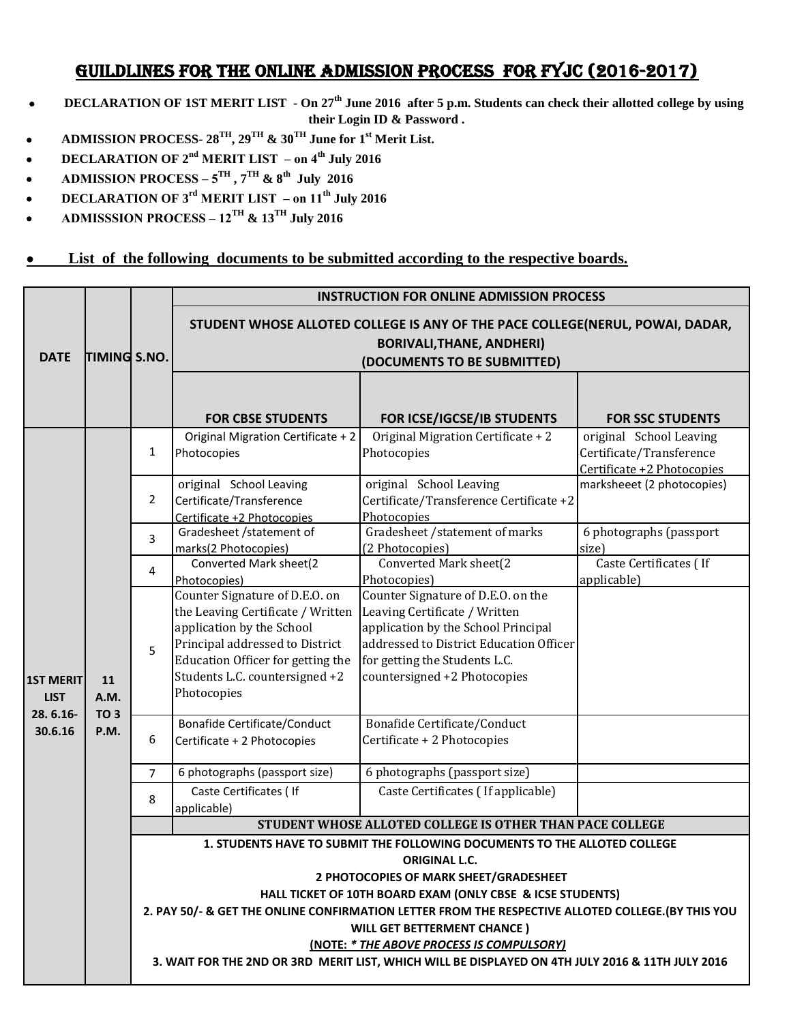## GUILDLINES FOR THE ONLINE ADMISSION PROCESS FOR FYJC (2016-2017)

- **DECLARATION OF 1ST MERIT LIST On 27th June 2016 after 5 p.m. Students can check their allotted college by using their Login ID & Password .**
- **ADMISSION PROCESS- 28TH, 29TH & 30TH June for 1st Merit List.**
- **DECLARATION OF 2nd MERIT LIST on 4th July 2016**
- **ADMISSION PROCESS**  $5^{TH}$ **,**  $7^{TH}$  **&**  $8^{th}$  **July 2016**
- **DECLARATION OF 3rd MERIT LIST on 11th July 2016**
- **ADMISSSION PROCESS 12TH & 13TH July 2016**
- **EXECTE 1** List of the following documents to be submitted according to the respective boards.

|                                                        | TIMING S.NO.                          |                                                                                                                                                                  | <b>INSTRUCTION FOR ONLINE ADMISSION PROCESS</b>                                                                                                                                                                           |                                                                                                                                                                                                                        |                                                                                   |
|--------------------------------------------------------|---------------------------------------|------------------------------------------------------------------------------------------------------------------------------------------------------------------|---------------------------------------------------------------------------------------------------------------------------------------------------------------------------------------------------------------------------|------------------------------------------------------------------------------------------------------------------------------------------------------------------------------------------------------------------------|-----------------------------------------------------------------------------------|
| <b>DATE</b>                                            |                                       |                                                                                                                                                                  | STUDENT WHOSE ALLOTED COLLEGE IS ANY OF THE PACE COLLEGE(NERUL, POWAI, DADAR,<br><b>BORIVALI, THANE, ANDHERI)</b><br>(DOCUMENTS TO BE SUBMITTED)                                                                          |                                                                                                                                                                                                                        |                                                                                   |
|                                                        |                                       |                                                                                                                                                                  | <b>FOR CBSE STUDENTS</b>                                                                                                                                                                                                  | FOR ICSE/IGCSE/IB STUDENTS                                                                                                                                                                                             | <b>FOR SSC STUDENTS</b>                                                           |
| <b>1ST MERIT</b><br><b>LIST</b><br>28.6.16-<br>30.6.16 | 11<br>A.M.<br>TO <sub>3</sub><br>P.M. | $\mathbf{1}$                                                                                                                                                     | Original Migration Certificate + 2<br>Photocopies                                                                                                                                                                         | Original Migration Certificate + 2<br>Photocopies                                                                                                                                                                      | original School Leaving<br>Certificate/Transference<br>Certificate +2 Photocopies |
|                                                        |                                       | $\overline{2}$                                                                                                                                                   | original School Leaving<br>Certificate/Transference<br>Certificate +2 Photocopies                                                                                                                                         | original School Leaving<br>Certificate/Transference Certificate +2<br>Photocopies                                                                                                                                      | marksheeet (2 photocopies)                                                        |
|                                                        |                                       | 3                                                                                                                                                                | Gradesheet /statement of<br>marks(2 Photocopies)                                                                                                                                                                          | Gradesheet /statement of marks<br>(2 Photocopies)                                                                                                                                                                      | 6 photographs (passport<br>size)                                                  |
|                                                        |                                       | 4                                                                                                                                                                | Converted Mark sheet(2<br>Photocopies)                                                                                                                                                                                    | Converted Mark sheet(2<br>Photocopies)                                                                                                                                                                                 | Caste Certificates (If<br>applicable)                                             |
|                                                        |                                       | 5                                                                                                                                                                | Counter Signature of D.E.O. on<br>the Leaving Certificate / Written<br>application by the School<br>Principal addressed to District<br>Education Officer for getting the<br>Students L.C. countersigned +2<br>Photocopies | Counter Signature of D.E.O. on the<br>Leaving Certificate / Written<br>application by the School Principal<br>addressed to District Education Officer<br>for getting the Students L.C.<br>countersigned +2 Photocopies |                                                                                   |
|                                                        |                                       | 6                                                                                                                                                                | <b>Bonafide Certificate/Conduct</b><br>Certificate + 2 Photocopies                                                                                                                                                        | Bonafide Certificate/Conduct<br>Certificate + 2 Photocopies                                                                                                                                                            |                                                                                   |
|                                                        |                                       | $\overline{7}$                                                                                                                                                   | 6 photographs (passport size)                                                                                                                                                                                             | 6 photographs (passport size)                                                                                                                                                                                          |                                                                                   |
|                                                        |                                       | 8                                                                                                                                                                | Caste Certificates (If<br>applicable)                                                                                                                                                                                     | Caste Certificates (If applicable)                                                                                                                                                                                     |                                                                                   |
|                                                        |                                       |                                                                                                                                                                  |                                                                                                                                                                                                                           | STUDENT WHOSE ALLOTED COLLEGE IS OTHER THAN PACE COLLEGE                                                                                                                                                               |                                                                                   |
|                                                        |                                       | 1. STUDENTS HAVE TO SUBMIT THE FOLLOWING DOCUMENTS TO THE ALLOTED COLLEGE<br><b>ORIGINAL L.C.</b><br>2 PHOTOCOPIES OF MARK SHEET/GRADESHEET                      |                                                                                                                                                                                                                           |                                                                                                                                                                                                                        |                                                                                   |
|                                                        |                                       | HALL TICKET OF 10TH BOARD EXAM (ONLY CBSE & ICSE STUDENTS)<br>2. PAY 50/- & GET THE ONLINE CONFIRMATION LETTER FROM THE RESPECTIVE ALLOTED COLLEGE. (BY THIS YOU |                                                                                                                                                                                                                           |                                                                                                                                                                                                                        |                                                                                   |
|                                                        |                                       | <b>WILL GET BETTERMENT CHANCE)</b>                                                                                                                               |                                                                                                                                                                                                                           |                                                                                                                                                                                                                        |                                                                                   |
|                                                        |                                       | <b>(NOTE: * THE ABOVE PROCESS IS COMPULSORY)</b>                                                                                                                 |                                                                                                                                                                                                                           |                                                                                                                                                                                                                        |                                                                                   |
|                                                        |                                       | 3. WAIT FOR THE 2ND OR 3RD MERIT LIST, WHICH WILL BE DISPLAYED ON 4TH JULY 2016 & 11TH JULY 2016                                                                 |                                                                                                                                                                                                                           |                                                                                                                                                                                                                        |                                                                                   |